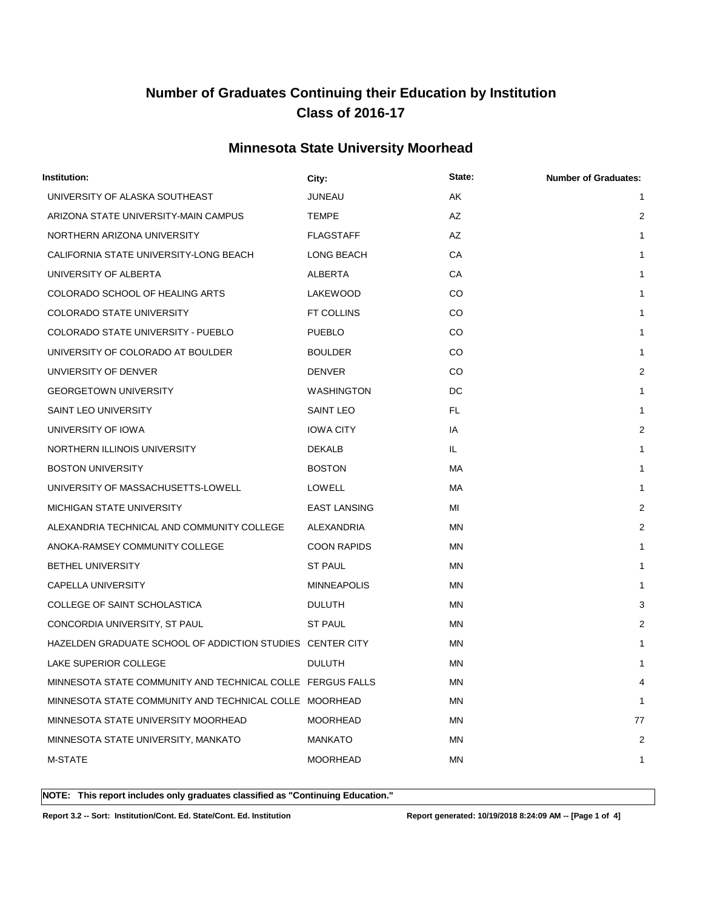### **Minnesota State University Moorhead**

| Institution:                                               | City:               | State:    | <b>Number of Graduates:</b> |
|------------------------------------------------------------|---------------------|-----------|-----------------------------|
| UNIVERSITY OF ALASKA SOUTHEAST                             | JUNEAU              | AK        | 1                           |
| ARIZONA STATE UNIVERSITY-MAIN CAMPUS                       | <b>TEMPE</b>        | AZ        | 2                           |
| NORTHERN ARIZONA UNIVERSITY                                | <b>FLAGSTAFF</b>    | AZ        | $\mathbf{1}$                |
| CALIFORNIA STATE UNIVERSITY-LONG BEACH                     | LONG BEACH          | CA        | 1                           |
| UNIVERSITY OF ALBERTA                                      | ALBERTA             | СA        | 1                           |
| COLORADO SCHOOL OF HEALING ARTS                            | LAKEWOOD            | CO.       | 1                           |
| COLORADO STATE UNIVERSITY                                  | FT COLLINS          | CO        | 1                           |
| COLORADO STATE UNIVERSITY - PUEBLO                         | <b>PUEBLO</b>       | CO.       | 1                           |
| UNIVERSITY OF COLORADO AT BOULDER                          | <b>BOULDER</b>      | CO.       | 1                           |
| UNVIERSITY OF DENVER                                       | <b>DENVER</b>       | CO        | $\overline{2}$              |
| <b>GEORGETOWN UNIVERSITY</b>                               | <b>WASHINGTON</b>   | DC        | 1                           |
| <b>SAINT LEO UNIVERSITY</b>                                | <b>SAINT LEO</b>    | FL.       | 1                           |
| UNIVERSITY OF IOWA                                         | <b>IOWA CITY</b>    | IA        | $\overline{2}$              |
| NORTHERN ILLINOIS UNIVERSITY                               | <b>DEKALB</b>       | IL.       | 1                           |
| <b>BOSTON UNIVERSITY</b>                                   | <b>BOSTON</b>       | MA.       | 1                           |
| UNIVERSITY OF MASSACHUSETTS-LOWELL                         | <b>LOWELL</b>       | МA        | 1                           |
| <b>MICHIGAN STATE UNIVERSITY</b>                           | <b>EAST LANSING</b> | MI        | 2                           |
| ALEXANDRIA TECHNICAL AND COMMUNITY COLLEGE                 | ALEXANDRIA          | <b>MN</b> | $\overline{2}$              |
| ANOKA-RAMSEY COMMUNITY COLLEGE                             | <b>COON RAPIDS</b>  | MN        | 1                           |
| <b>BETHEL UNIVERSITY</b>                                   | ST PAUL             | ΜN        | 1                           |
| <b>CAPELLA UNIVERSITY</b>                                  | <b>MINNEAPOLIS</b>  | ΜN        | 1                           |
| COLLEGE OF SAINT SCHOLASTICA                               | <b>DULUTH</b>       | MN        | 3                           |
| CONCORDIA UNIVERSITY, ST PAUL                              | <b>ST PAUL</b>      | <b>MN</b> | $\overline{2}$              |
| HAZELDEN GRADUATE SCHOOL OF ADDICTION STUDIES CENTER CITY  |                     | <b>MN</b> | 1                           |
| LAKE SUPERIOR COLLEGE                                      | <b>DULUTH</b>       | <b>MN</b> | 1                           |
| MINNESOTA STATE COMMUNITY AND TECHNICAL COLLE FERGUS FALLS |                     | <b>MN</b> | 4                           |
| MINNESOTA STATE COMMUNITY AND TECHNICAL COLLE MOORHEAD     |                     | ΜN        | 1                           |
| MINNESOTA STATE UNIVERSITY MOORHEAD                        | MOORHEAD            | MN        | 77                          |
| MINNESOTA STATE UNIVERSITY, MANKATO                        | <b>MANKATO</b>      | ΜN        | 2                           |
| M-STATE                                                    | <b>MOORHEAD</b>     | <b>MN</b> | 1                           |
|                                                            |                     |           |                             |

**NOTE: This report includes only graduates classified as "Continuing Education."** 

**Report 3.2 -- Sort: Institution/Cont. Ed. State/Cont. Ed. Institution Report generated: 10/19/2018 8:24:09 AM -- [Page 1 of 4]**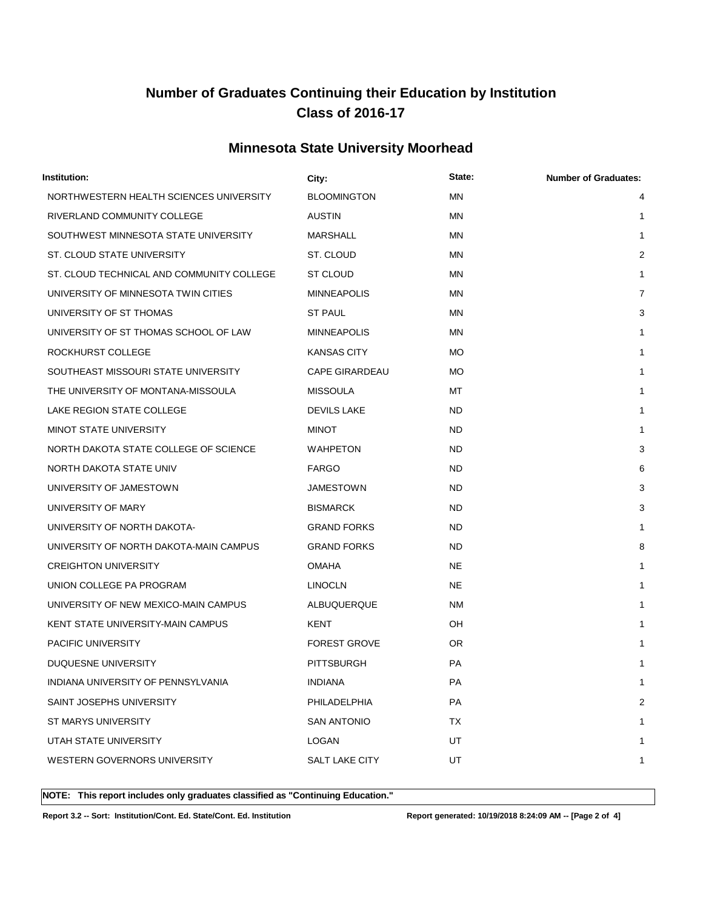### **Minnesota State University Moorhead**

| Institution:                              | City:                 | State:    | <b>Number of Graduates:</b> |
|-------------------------------------------|-----------------------|-----------|-----------------------------|
| NORTHWESTERN HEALTH SCIENCES UNIVERSITY   | <b>BLOOMINGTON</b>    | <b>MN</b> | 4                           |
| RIVERLAND COMMUNITY COLLEGE               | <b>AUSTIN</b>         | MN        | 1                           |
| SOUTHWEST MINNESOTA STATE UNIVERSITY      | MARSHALL              | MN        | 1                           |
| ST. CLOUD STATE UNIVERSITY                | ST. CLOUD             | MN        | 2                           |
| ST. CLOUD TECHNICAL AND COMMUNITY COLLEGE | ST CLOUD              | ΜN        | 1                           |
| UNIVERSITY OF MINNESOTA TWIN CITIES       | <b>MINNEAPOLIS</b>    | MN        | 7                           |
| UNIVERSITY OF ST THOMAS                   | <b>ST PAUL</b>        | MN        | 3                           |
| UNIVERSITY OF ST THOMAS SCHOOL OF LAW     | <b>MINNEAPOLIS</b>    | ΜN        | 1                           |
| ROCKHURST COLLEGE                         | <b>KANSAS CITY</b>    | <b>MO</b> | 1                           |
| SOUTHEAST MISSOURI STATE UNIVERSITY       | <b>CAPE GIRARDEAU</b> | <b>MO</b> | 1                           |
| THE UNIVERSITY OF MONTANA-MISSOULA        | <b>MISSOULA</b>       | МT        | 1                           |
| LAKE REGION STATE COLLEGE                 | <b>DEVILS LAKE</b>    | <b>ND</b> | 1                           |
| MINOT STATE UNIVERSITY                    | <b>MINOT</b>          | <b>ND</b> | 1                           |
| NORTH DAKOTA STATE COLLEGE OF SCIENCE     | WAHPETON              | <b>ND</b> | 3                           |
| NORTH DAKOTA STATE UNIV                   | <b>FARGO</b>          | <b>ND</b> | 6                           |
| UNIVERSITY OF JAMESTOWN                   | JAMESTOWN             | <b>ND</b> | 3                           |
| UNIVERSITY OF MARY                        | <b>BISMARCK</b>       | <b>ND</b> | 3                           |
| UNIVERSITY OF NORTH DAKOTA-               | <b>GRAND FORKS</b>    | <b>ND</b> | 1                           |
| UNIVERSITY OF NORTH DAKOTA-MAIN CAMPUS    | <b>GRAND FORKS</b>    | <b>ND</b> | 8                           |
| <b>CREIGHTON UNIVERSITY</b>               | <b>OMAHA</b>          | <b>NE</b> | 1                           |
| UNION COLLEGE PA PROGRAM                  | <b>LINOCLN</b>        | <b>NE</b> | 1                           |
| UNIVERSITY OF NEW MEXICO-MAIN CAMPUS      | ALBUQUERQUE           | NM        | 1                           |
| KENT STATE UNIVERSITY-MAIN CAMPUS         | KENT                  | OH        | 1                           |
| PACIFIC UNIVERSITY                        | <b>FOREST GROVE</b>   | OR.       | 1                           |
| DUQUESNE UNIVERSITY                       | <b>PITTSBURGH</b>     | <b>PA</b> | 1                           |
| INDIANA UNIVERSITY OF PENNSYLVANIA        | INDIANA               | PA        | 1                           |
| SAINT JOSEPHS UNIVERSITY                  | PHILADELPHIA          | PA        | $\overline{2}$              |
| ST MARYS UNIVERSITY                       | <b>SAN ANTONIO</b>    | TX        | 1                           |
| UTAH STATE UNIVERSITY                     | LOGAN                 | UT        | 1                           |
| WESTERN GOVERNORS UNIVERSITY              | SALT LAKE CITY        | UT        | 1                           |
|                                           |                       |           |                             |

**NOTE: This report includes only graduates classified as "Continuing Education."** 

**Report 3.2 -- Sort: Institution/Cont. Ed. State/Cont. Ed. Institution Report generated: 10/19/2018 8:24:09 AM -- [Page 2 of 4]**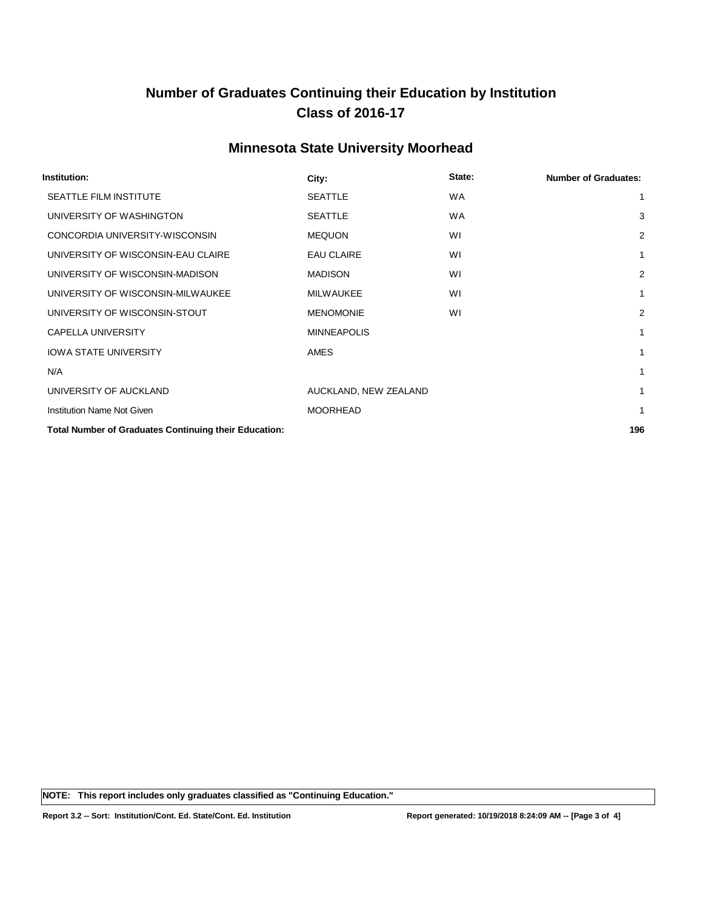### **Minnesota State University Moorhead**

| Institution:                                                 | City:                 | State:    | <b>Number of Graduates:</b> |
|--------------------------------------------------------------|-----------------------|-----------|-----------------------------|
| <b>SEATTLE FILM INSTITUTE</b>                                | <b>SEATTLE</b>        | <b>WA</b> | 1                           |
| UNIVERSITY OF WASHINGTON                                     | <b>SEATTLE</b>        | <b>WA</b> | 3                           |
| CONCORDIA UNIVERSITY-WISCONSIN                               | <b>MEQUON</b>         | WI        | $\overline{2}$              |
| UNIVERSITY OF WISCONSIN-EAU CLAIRE                           | <b>EAU CLAIRE</b>     | WI        | 1                           |
| UNIVERSITY OF WISCONSIN-MADISON                              | <b>MADISON</b>        | WI        | 2                           |
| UNIVERSITY OF WISCONSIN-MILWAUKEE                            | <b>MILWAUKEE</b>      | WI        | 1                           |
| UNIVERSITY OF WISCONSIN-STOUT                                | <b>MENOMONIE</b>      | WI        | $\overline{2}$              |
| <b>CAPELLA UNIVERSITY</b>                                    | <b>MINNEAPOLIS</b>    |           | 1                           |
| <b>IOWA STATE UNIVERSITY</b>                                 | AMES                  |           | 1                           |
| N/A                                                          |                       |           | 1                           |
| UNIVERSITY OF AUCKLAND                                       | AUCKLAND, NEW ZEALAND |           | 1                           |
| <b>Institution Name Not Given</b>                            | <b>MOORHEAD</b>       |           | 1                           |
| <b>Total Number of Graduates Continuing their Education:</b> |                       |           | 196                         |

**NOTE: This report includes only graduates classified as "Continuing Education."** 

**Report 3.2 -- Sort: Institution/Cont. Ed. State/Cont. Ed. Institution Report generated: 10/19/2018 8:24:09 AM -- [Page 3 of 4]**